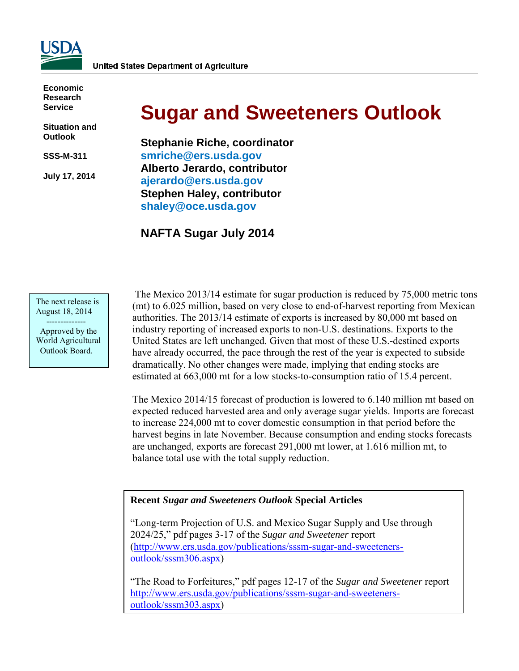

**Economic Research Service**

**Situation and Outlook**

**SSS-M-311** 

**July 17, 2014** 

# **Sugar and Sweeteners Outlook**

**Stephanie Riche, coordinator [smriche@ers.usda.gov](mailto:smriche@ers.usda.gov) Alberto Jerardo, contributor [ajerardo@ers.usda.gov](mailto:ajerardo@ers.usda.gov) Stephen Haley, contributor [shaley@oce.usda.gov](mailto:shaley@oce.usda.gov)** 

# **NAFTA Sugar July 2014**

The next release is August 18, 2014

 -------------- Approved by the World Agricultural Outlook Board.

 The Mexico 2013/14 estimate for sugar production is reduced by 75,000 metric tons (mt) to 6.025 million, based on very close to end-of-harvest reporting from Mexican authorities. The 2013/14 estimate of exports is increased by 80,000 mt based on industry reporting of increased exports to non-U.S. destinations. Exports to the United States are left unchanged. Given that most of these U.S.-destined exports have already occurred, the pace through the rest of the year is expected to subside dramatically. No other changes were made, implying that ending stocks are estimated at 663,000 mt for a low stocks-to-consumption ratio of 15.4 percent.

The Mexico 2014/15 forecast of production is lowered to 6.140 million mt based on expected reduced harvested area and only average sugar yields. Imports are forecast to increase 224,000 mt to cover domestic consumption in that period before the harvest begins in late November. Because consumption and ending stocks forecasts are unchanged, exports are forecast 291,000 mt lower, at 1.616 million mt, to balance total use with the total supply reduction.

### **Recent** *Sugar and Sweeteners Outlook* **Special Articles**

"Long-term Projection of U.S. and Mexico Sugar Supply and Use through 2024/25," pdf pages 3-17 of the *Sugar and Sweetener* report [\(http://www.ers.usda.gov/publications/sssm-sugar-and-sweeteners](http://www.ers.usda.gov/publications/sssm-sugar-and-sweeteners-outlook/sssm306.aspx)[outlook/sssm306.aspx\)](http://www.ers.usda.gov/publications/sssm-sugar-and-sweeteners-outlook/sssm306.aspx)

"The Road to Forfeitures," pdf pages 12-17 of the *Sugar and Sweetener* report [http://www.ers.usda.gov/publications/sssm-sugar-and-sweeteners](http://www.ers.usda.gov/publications/sssm-sugar-and-sweeteners-outlook/sssm303.aspx)[outlook/sssm303.aspx\)](http://www.ers.usda.gov/publications/sssm-sugar-and-sweeteners-outlook/sssm303.aspx)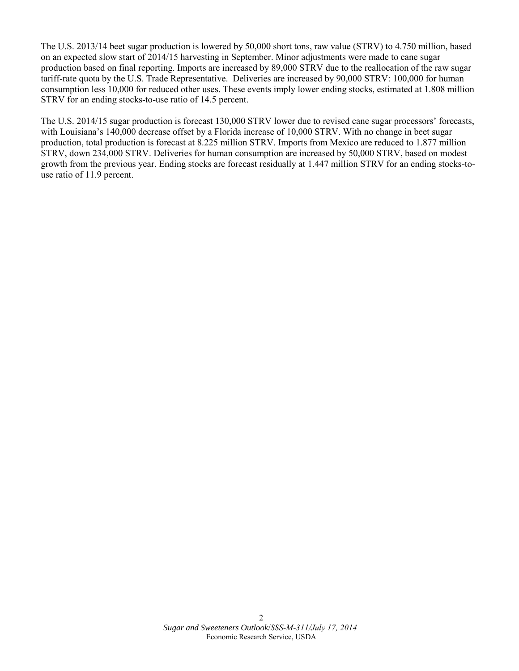The U.S. 2013/14 beet sugar production is lowered by 50,000 short tons, raw value (STRV) to 4.750 million, based on an expected slow start of 2014/15 harvesting in September. Minor adjustments were made to cane sugar production based on final reporting. Imports are increased by 89,000 STRV due to the reallocation of the raw sugar tariff-rate quota by the U.S. Trade Representative. Deliveries are increased by 90,000 STRV: 100,000 for human consumption less 10,000 for reduced other uses. These events imply lower ending stocks, estimated at 1.808 million STRV for an ending stocks-to-use ratio of 14.5 percent.

The U.S. 2014/15 sugar production is forecast 130,000 STRV lower due to revised cane sugar processors' forecasts, with Louisiana's 140,000 decrease offset by a Florida increase of 10,000 STRV. With no change in beet sugar production, total production is forecast at 8.225 million STRV. Imports from Mexico are reduced to 1.877 million STRV, down 234,000 STRV. Deliveries for human consumption are increased by 50,000 STRV, based on modest growth from the previous year. Ending stocks are forecast residually at 1.447 million STRV for an ending stocks-touse ratio of 11.9 percent.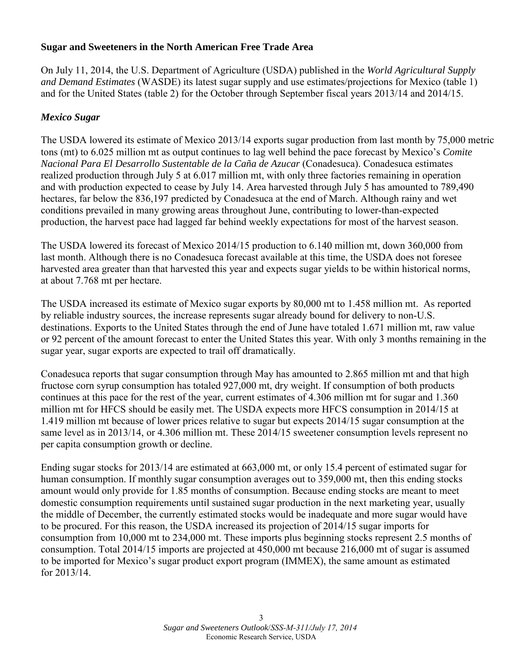# **Sugar and Sweeteners in the North American Free Trade Area**

On July 11, 2014, the U.S. Department of Agriculture (USDA) published in the *World Agricultural Supply and Demand Estimates* (WASDE) its latest sugar supply and use estimates/projections for Mexico (table 1) and for the United States (table 2) for the October through September fiscal years 2013/14 and 2014/15.

# *Mexico Sugar*

The USDA lowered its estimate of Mexico 2013/14 exports sugar production from last month by 75,000 metric tons (mt) to 6.025 million mt as output continues to lag well behind the pace forecast by Mexico's *Comite Nacional Para El Desarrollo Sustentable de la Caña de Azucar* (Conadesuca). Conadesuca estimates realized production through July 5 at 6.017 million mt, with only three factories remaining in operation and with production expected to cease by July 14. Area harvested through July 5 has amounted to 789,490 hectares, far below the 836,197 predicted by Conadesuca at the end of March. Although rainy and wet conditions prevailed in many growing areas throughout June, contributing to lower-than-expected production, the harvest pace had lagged far behind weekly expectations for most of the harvest season.

The USDA lowered its forecast of Mexico 2014/15 production to 6.140 million mt, down 360,000 from last month. Although there is no Conadesuca forecast available at this time, the USDA does not foresee harvested area greater than that harvested this year and expects sugar yields to be within historical norms, at about 7.768 mt per hectare.

The USDA increased its estimate of Mexico sugar exports by 80,000 mt to 1.458 million mt. As reported by reliable industry sources, the increase represents sugar already bound for delivery to non-U.S. destinations. Exports to the United States through the end of June have totaled 1.671 million mt, raw value or 92 percent of the amount forecast to enter the United States this year. With only 3 months remaining in the sugar year, sugar exports are expected to trail off dramatically.

Conadesuca reports that sugar consumption through May has amounted to 2.865 million mt and that high fructose corn syrup consumption has totaled 927,000 mt, dry weight. If consumption of both products continues at this pace for the rest of the year, current estimates of 4.306 million mt for sugar and 1.360 million mt for HFCS should be easily met. The USDA expects more HFCS consumption in 2014/15 at 1.419 million mt because of lower prices relative to sugar but expects 2014/15 sugar consumption at the same level as in 2013/14, or 4.306 million mt. These 2014/15 sweetener consumption levels represent no per capita consumption growth or decline.

Ending sugar stocks for 2013/14 are estimated at 663,000 mt, or only 15.4 percent of estimated sugar for human consumption. If monthly sugar consumption averages out to 359,000 mt, then this ending stocks amount would only provide for 1.85 months of consumption. Because ending stocks are meant to meet domestic consumption requirements until sustained sugar production in the next marketing year, usually the middle of December, the currently estimated stocks would be inadequate and more sugar would have to be procured. For this reason, the USDA increased its projection of 2014/15 sugar imports for consumption from 10,000 mt to 234,000 mt. These imports plus beginning stocks represent 2.5 months of consumption. Total 2014/15 imports are projected at 450,000 mt because 216,000 mt of sugar is assumed to be imported for Mexico's sugar product export program (IMMEX), the same amount as estimated for 2013/14.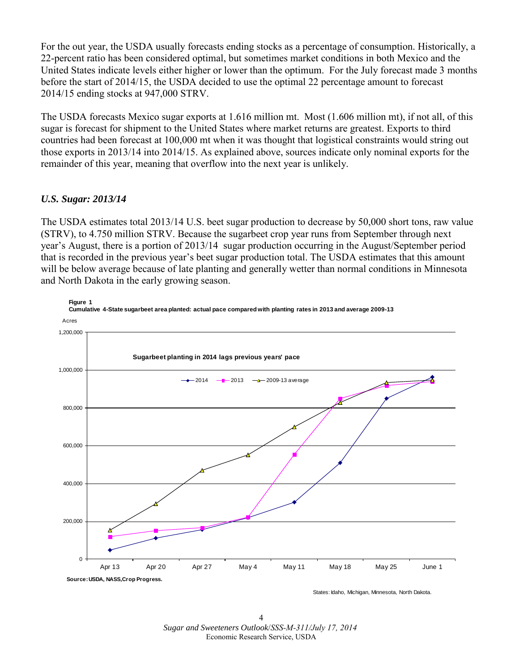For the out year, the USDA usually forecasts ending stocks as a percentage of consumption. Historically, a 22-percent ratio has been considered optimal, but sometimes market conditions in both Mexico and the United States indicate levels either higher or lower than the optimum. For the July forecast made 3 months before the start of 2014/15, the USDA decided to use the optimal 22 percentage amount to forecast 2014/15 ending stocks at 947,000 STRV.

The USDA forecasts Mexico sugar exports at 1.616 million mt. Most (1.606 million mt), if not all, of this sugar is forecast for shipment to the United States where market returns are greatest. Exports to third countries had been forecast at 100,000 mt when it was thought that logistical constraints would string out those exports in 2013/14 into 2014/15. As explained above, sources indicate only nominal exports for the remainder of this year, meaning that overflow into the next year is unlikely.

# *U.S. Sugar: 2013/14*

The USDA estimates total 2013/14 U.S. beet sugar production to decrease by 50,000 short tons, raw value (STRV), to 4.750 million STRV. Because the sugarbeet crop year runs from September through next year's August, there is a portion of 2013/14 sugar production occurring in the August/September period that is recorded in the previous year's beet sugar production total. The USDA estimates that this amount will be below average because of late planting and generally wetter than normal conditions in Minnesota and North Dakota in the early growing season.



4 *Sugar and Sweeteners Outlook*/*SSS-M-311/July 17, 2014* Economic Research Service, USDA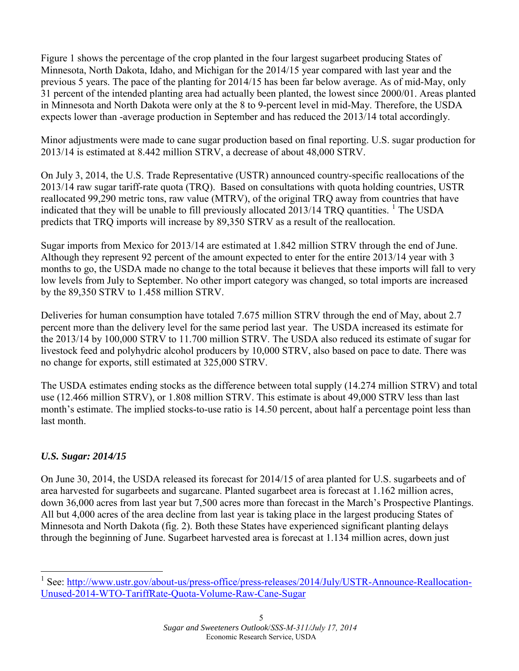Figure 1 shows the percentage of the crop planted in the four largest sugarbeet producing States of Minnesota, North Dakota, Idaho, and Michigan for the 2014/15 year compared with last year and the previous 5 years. The pace of the planting for 2014/15 has been far below average. As of mid-May, only 31 percent of the intended planting area had actually been planted, the lowest since 2000/01. Areas planted in Minnesota and North Dakota were only at the 8 to 9-percent level in mid-May. Therefore, the USDA expects lower than -average production in September and has reduced the 2013/14 total accordingly.

Minor adjustments were made to cane sugar production based on final reporting. U.S. sugar production for 2013/14 is estimated at 8.442 million STRV, a decrease of about 48,000 STRV.

On July 3, 2014, the U.S. Trade Representative (USTR) announced country-specific reallocations of the 2013/14 raw sugar tariff-rate quota (TRQ). Based on consultations with quota holding countries, USTR reallocated 99,290 metric tons, raw value (MTRV), of the original TRQ away from countries that have indicated that they will be unable to fill previously allocated  $2013/14$  $2013/14$  $2013/14$  TRO quantities. <sup>1</sup> The USDA predicts that TRQ imports will increase by 89,350 STRV as a result of the reallocation.

Sugar imports from Mexico for 2013/14 are estimated at 1.842 million STRV through the end of June. Although they represent 92 percent of the amount expected to enter for the entire 2013/14 year with 3 months to go, the USDA made no change to the total because it believes that these imports will fall to very low levels from July to September. No other import category was changed, so total imports are increased by the 89,350 STRV to 1.458 million STRV.

Deliveries for human consumption have totaled 7.675 million STRV through the end of May, about 2.7 percent more than the delivery level for the same period last year. The USDA increased its estimate for the 2013/14 by 100,000 STRV to 11.700 million STRV. The USDA also reduced its estimate of sugar for livestock feed and polyhydric alcohol producers by 10,000 STRV, also based on pace to date. There was no change for exports, still estimated at 325,000 STRV.

The USDA estimates ending stocks as the difference between total supply (14.274 million STRV) and total use (12.466 million STRV), or 1.808 million STRV. This estimate is about 49,000 STRV less than last month's estimate. The implied stocks-to-use ratio is 14.50 percent, about half a percentage point less than last month.

# *U.S. Sugar: 2014/15*

-

On June 30, 2014, the USDA released its forecast for 2014/15 of area planted for U.S. sugarbeets and of area harvested for sugarbeets and sugarcane. Planted sugarbeet area is forecast at 1.162 million acres, down 36,000 acres from last year but 7,500 acres more than forecast in the March's Prospective Plantings. All but 4,000 acres of the area decline from last year is taking place in the largest producing States of Minnesota and North Dakota (fig. 2). Both these States have experienced significant planting delays through the beginning of June. Sugarbeet harvested area is forecast at 1.134 million acres, down just

<span id="page-4-0"></span><sup>&</sup>lt;sup>1</sup> See: [http://www.ustr.gov/about-us/press-office/press-releases/2014/July/USTR-Announce-Reallocation-](http://www.ustr.gov/about-us/press-office/press-releases/2014/July/USTR-Announce-Reallocation-Unused-2014-WTO-TariffRate-Quota-Volume-Raw-Cane-Sugar)[Unused-2014-WTO-TariffRate-Quota-Volume-Raw-Cane-Sugar](http://www.ustr.gov/about-us/press-office/press-releases/2014/July/USTR-Announce-Reallocation-Unused-2014-WTO-TariffRate-Quota-Volume-Raw-Cane-Sugar)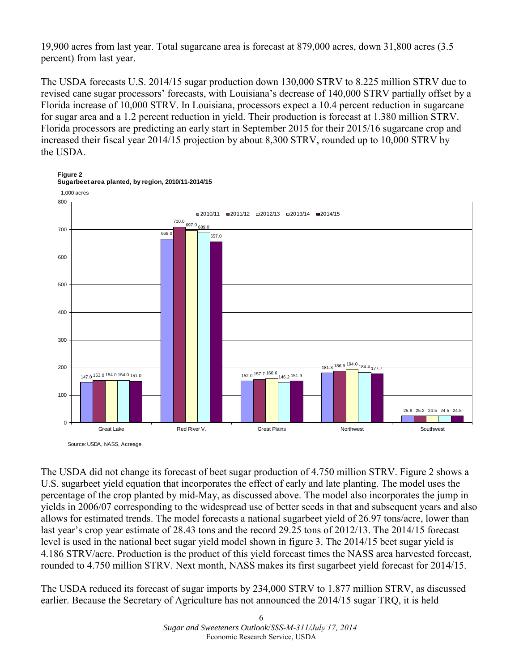19,900 acres from last year. Total sugarcane area is forecast at 879,000 acres, down 31,800 acres (3.5 percent) from last year.

The USDA forecasts U.S. 2014/15 sugar production down 130,000 STRV to 8.225 million STRV due to revised cane sugar processors' forecasts, with Louisiana's decrease of 140,000 STRV partially offset by a Florida increase of 10,000 STRV. In Louisiana, processors expect a 10.4 percent reduction in sugarcane for sugar area and a 1.2 percent reduction in yield. Their production is forecast at 1.380 million STRV. Florida processors are predicting an early start in September 2015 for their 2015/16 sugarcane crop and increased their fiscal year 2014/15 projection by about 8,300 STRV, rounded up to 10,000 STRV by the USDA.

**Figure 2**



The USDA did not change its forecast of beet sugar production of 4.750 million STRV. Figure 2 shows a U.S. sugarbeet yield equation that incorporates the effect of early and late planting. The model uses the percentage of the crop planted by mid-May, as discussed above. The model also incorporates the jump in yields in 2006/07 corresponding to the widespread use of better seeds in that and subsequent years and also allows for estimated trends. The model forecasts a national sugarbeet yield of 26.97 tons/acre, lower than last year's crop year estimate of 28.43 tons and the record 29.25 tons of 2012/13. The 2014/15 forecast level is used in the national beet sugar yield model shown in figure 3. The 2014/15 beet sugar yield is 4.186 STRV/acre. Production is the product of this yield forecast times the NASS area harvested forecast, rounded to 4.750 million STRV. Next month, NASS makes its first sugarbeet yield forecast for 2014/15.

The USDA reduced its forecast of sugar imports by 234,000 STRV to 1.877 million STRV, as discussed earlier. Because the Secretary of Agriculture has not announced the 2014/15 sugar TRQ, it is held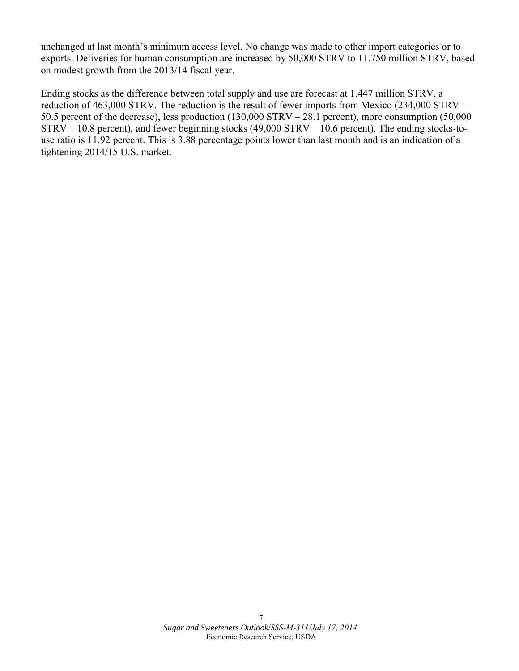unchanged at last month's minimum access level. No change was made to other import categories or to exports. Deliveries for human consumption are increased by 50,000 STRV to 11.750 million STRV, based on modest growth from the 2013/14 fiscal year.

Ending stocks as the difference between total supply and use are forecast at 1.447 million STRV, a reduction of 463,000 STRV. The reduction is the result of fewer imports from Mexico (234,000 STRV – 50.5 percent of the decrease), less production (130,000 STRV – 28.1 percent), more consumption (50,000 STRV – 10.8 percent), and fewer beginning stocks (49,000 STRV – 10.6 percent). The ending stocks-touse ratio is 11.92 percent. This is 3.88 percentage points lower than last month and is an indication of a tightening 2014/15 U.S. market.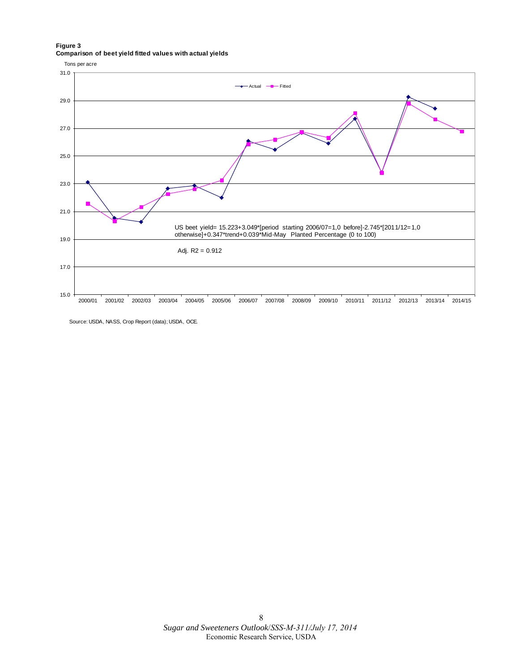#### **Figure 3 Comparison of beet yield fitted values with actual yields**



Source: USDA, NASS, Crop Report (data); USDA, OCE.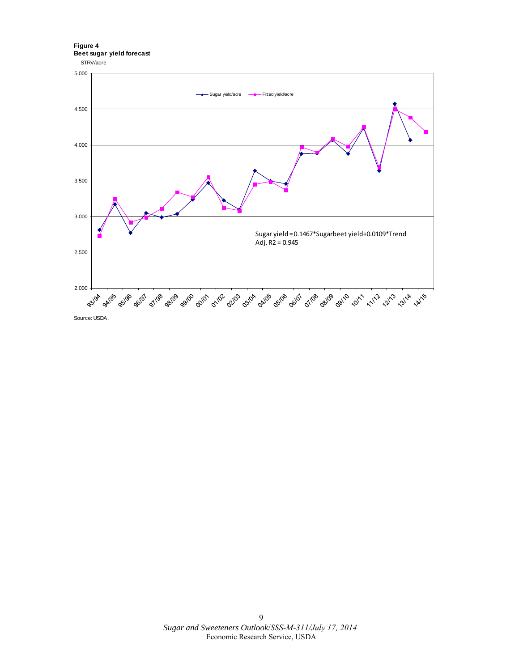**Figure 4 Beet sugar yield forecast**



Source: USDA.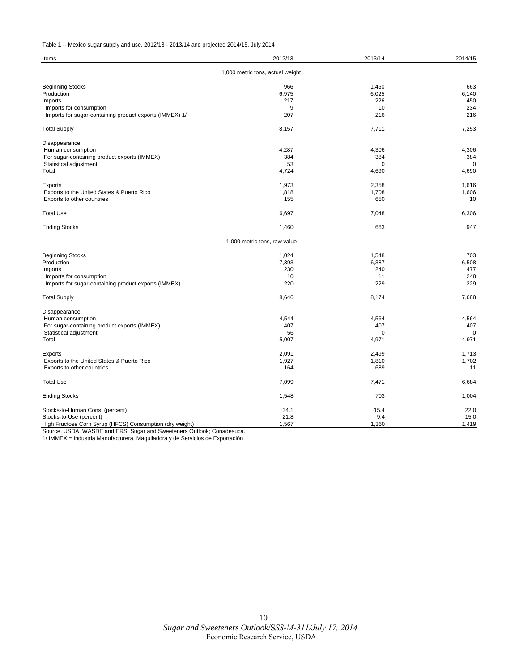#### Table 1 -- Mexico sugar supply and use, 2012/13 - 2013/14 and projected 2014/15, July 2014

| Items                                                                    | 2012/13                      | 2013/14      | 2014/15     |  |  |  |  |  |  |
|--------------------------------------------------------------------------|------------------------------|--------------|-------------|--|--|--|--|--|--|
| 1,000 metric tons, actual weight                                         |                              |              |             |  |  |  |  |  |  |
| <b>Beginning Stocks</b>                                                  | 966                          | 1,460        | 663         |  |  |  |  |  |  |
| Production                                                               | 6,975                        | 6,025        | 6,140       |  |  |  |  |  |  |
| Imports                                                                  | 217                          | 226          | 450         |  |  |  |  |  |  |
| Imports for consumption                                                  | 9                            | 10           | 234         |  |  |  |  |  |  |
| Imports for sugar-containing product exports (IMMEX) 1/                  | 207                          | 216          | 216         |  |  |  |  |  |  |
| <b>Total Supply</b>                                                      | 8,157                        | 7,711        | 7,253       |  |  |  |  |  |  |
| Disappearance                                                            |                              |              |             |  |  |  |  |  |  |
| Human consumption                                                        | 4,287                        | 4,306        | 4,306       |  |  |  |  |  |  |
| For sugar-containing product exports (IMMEX)                             | 384                          | 384          | 384         |  |  |  |  |  |  |
| Statistical adjustment                                                   | 53                           | $\mathbf 0$  | $\mathbf 0$ |  |  |  |  |  |  |
| Total                                                                    | 4,724                        | 4,690        | 4,690       |  |  |  |  |  |  |
| Exports                                                                  | 1,973                        | 2,358        | 1,616       |  |  |  |  |  |  |
| Exports to the United States & Puerto Rico                               | 1,818                        | 1,708        | 1,606       |  |  |  |  |  |  |
| Exports to other countries                                               | 155                          | 650          | 10          |  |  |  |  |  |  |
| <b>Total Use</b>                                                         | 6,697                        | 7,048        | 6,306       |  |  |  |  |  |  |
| <b>Ending Stocks</b>                                                     | 1,460                        | 663          | 947         |  |  |  |  |  |  |
|                                                                          | 1,000 metric tons, raw value |              |             |  |  |  |  |  |  |
| <b>Beginning Stocks</b>                                                  | 1,024                        | 1,548        | 703         |  |  |  |  |  |  |
| Production                                                               | 7,393                        | 6,387        | 6,508       |  |  |  |  |  |  |
| Imports                                                                  | 230                          | 240          | 477         |  |  |  |  |  |  |
| Imports for consumption                                                  | 10                           | 11           | 248         |  |  |  |  |  |  |
| Imports for sugar-containing product exports (IMMEX)                     | 220                          | 229          | 229         |  |  |  |  |  |  |
| <b>Total Supply</b>                                                      | 8,646                        | 8,174        | 7,688       |  |  |  |  |  |  |
| Disappearance                                                            |                              |              |             |  |  |  |  |  |  |
| Human consumption                                                        | 4.544                        | 4,564        | 4,564       |  |  |  |  |  |  |
| For sugar-containing product exports (IMMEX)                             | 407                          | 407          | 407         |  |  |  |  |  |  |
| Statistical adjustment                                                   | 56                           | $\Omega$     | $\mathbf 0$ |  |  |  |  |  |  |
| Total                                                                    | 5,007                        | 4,971        | 4,971       |  |  |  |  |  |  |
|                                                                          | 2,091                        | 2,499        | 1,713       |  |  |  |  |  |  |
| Exports                                                                  |                              |              | 1,702       |  |  |  |  |  |  |
| Exports to the United States & Puerto Rico<br>Exports to other countries | 1,927<br>164                 | 1,810<br>689 | 11          |  |  |  |  |  |  |
| <b>Total Use</b>                                                         | 7,099                        | 7,471        | 6,684       |  |  |  |  |  |  |
|                                                                          |                              |              |             |  |  |  |  |  |  |
| <b>Ending Stocks</b>                                                     | 1,548                        | 703          | 1,004       |  |  |  |  |  |  |
| Stocks-to-Human Cons. (percent)                                          | 34.1                         | 15.4         | 22.0        |  |  |  |  |  |  |
| Stocks-to-Use (percent)                                                  | 21.8                         | 9.4          | 15.0        |  |  |  |  |  |  |
| High Fructose Corn Syrup (HFCS) Consumption (dry weight)                 | 1,567                        | 1,360        | 1,419       |  |  |  |  |  |  |

Source: USDA, WASDE and ERS, Sugar and Sweeteners Outlook; Conadesuca.

1/ IMMEX = Industria Manufacturera, Maquiladora y de Servicios de Exportación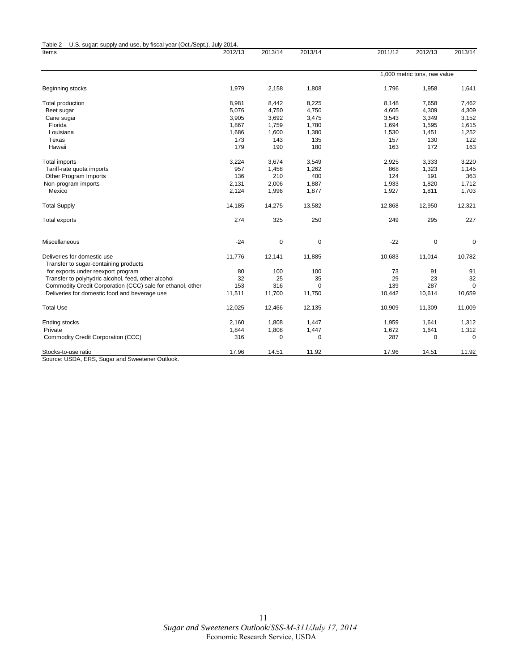| Table 2 -- U.S. sugar: supply and use, by fiscal year (Oct./Sept.), July 2014.<br>Items | 2012/13 | 2013/14 | 2013/14     | 2011/12                      | 2012/13     | 2013/14  |
|-----------------------------------------------------------------------------------------|---------|---------|-------------|------------------------------|-------------|----------|
|                                                                                         |         |         |             |                              |             |          |
|                                                                                         |         |         |             | 1,000 metric tons, raw value |             |          |
| Beginning stocks                                                                        | 1,979   | 2,158   | 1,808       | 1,796                        | 1,958       | 1,641    |
| Total production                                                                        | 8,981   | 8,442   | 8,225       | 8,148                        | 7,658       | 7,462    |
| Beet sugar                                                                              | 5,076   | 4,750   | 4,750       | 4,605                        | 4,309       | 4,309    |
| Cane sugar                                                                              | 3,905   | 3,692   | 3,475       | 3,543                        | 3,349       | 3,152    |
| Florida                                                                                 | 1,867   | 1,759   | 1,780       | 1,694                        | 1,595       | 1,615    |
| Louisiana                                                                               | 1,686   | 1,600   | 1,380       | 1,530                        | 1,451       | 1,252    |
| Texas                                                                                   | 173     | 143     | 135         | 157                          | 130         | 122      |
| Hawaii                                                                                  | 179     | 190     | 180         | 163                          | 172         | 163      |
| <b>Total imports</b>                                                                    | 3,224   | 3,674   | 3,549       | 2,925                        | 3,333       | 3,220    |
| Tariff-rate quota imports                                                               | 957     | 1,458   | 1,262       | 868                          | 1,323       | 1,145    |
| Other Program Imports                                                                   | 136     | 210     | 400         | 124                          | 191         | 363      |
| Non-program imports                                                                     | 2,131   | 2,006   | 1,887       | 1,933                        | 1,820       | 1,712    |
| Mexico                                                                                  | 2,124   | 1,996   | 1,877       | 1,927                        | 1,811       | 1,703    |
| <b>Total Supply</b>                                                                     | 14,185  | 14,275  | 13,582      | 12,868                       | 12,950      | 12,321   |
| Total exports                                                                           | 274     | 325     | 250         | 249                          | 295         | 227      |
| Miscellaneous                                                                           | $-24$   | 0       | $\mathbf 0$ | $-22$                        | $\mathbf 0$ | 0        |
| Deliveries for domestic use                                                             | 11,776  | 12,141  | 11,885      | 10,683                       | 11,014      | 10,782   |
| Transfer to sugar-containing products                                                   |         |         |             |                              |             |          |
| for exports under reexport program                                                      | 80      | 100     | 100         | 73                           | 91          | 91       |
| Transfer to polyhydric alcohol, feed, other alcohol                                     | 32      | 25      | 35          | 29                           | 23          | 32       |
| Commodity Credit Corporation (CCC) sale for ethanol, other                              | 153     | 316     | $\Omega$    | 139                          | 287         | $\Omega$ |
| Deliveries for domestic food and beverage use                                           | 11,511  | 11,700  | 11,750      | 10,442                       | 10,614      | 10,659   |
| <b>Total Use</b>                                                                        | 12,025  | 12,466  | 12,135      | 10,909                       | 11,309      | 11,009   |
| Ending stocks                                                                           | 2,160   | 1,808   | 1,447       | 1,959                        | 1,641       | 1,312    |
| Private                                                                                 | 1,844   | 1,808   | 1,447       | 1,672                        | 1,641       | 1,312    |
| Commodity Credit Corporation (CCC)                                                      | 316     | 0       | $\Omega$    | 287                          | $\mathbf 0$ | 0        |
| Stocks-to-use ratio                                                                     | 17.96   | 14.51   | 11.92       | 17.96                        | 14.51       | 11.92    |

Source: USDA, ERS, Sugar and Sweetener Outlook.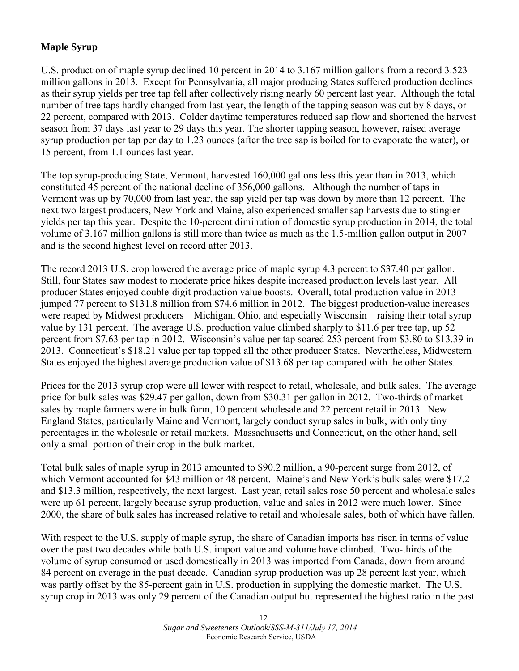# **Maple Syrup**

U.S. production of maple syrup declined 10 percent in 2014 to 3.167 million gallons from a record 3.523 million gallons in 2013. Except for Pennsylvania, all major producing States suffered production declines as their syrup yields per tree tap fell after collectively rising nearly 60 percent last year. Although the total number of tree taps hardly changed from last year, the length of the tapping season was cut by 8 days, or 22 percent, compared with 2013. Colder daytime temperatures reduced sap flow and shortened the harvest season from 37 days last year to 29 days this year. The shorter tapping season, however, raised average syrup production per tap per day to 1.23 ounces (after the tree sap is boiled for to evaporate the water), or 15 percent, from 1.1 ounces last year.

The top syrup-producing State, Vermont, harvested 160,000 gallons less this year than in 2013, which constituted 45 percent of the national decline of 356,000 gallons. Although the number of taps in Vermont was up by 70,000 from last year, the sap yield per tap was down by more than 12 percent. The next two largest producers, New York and Maine, also experienced smaller sap harvests due to stingier yields per tap this year. Despite the 10-percent diminution of domestic syrup production in 2014, the total volume of 3.167 million gallons is still more than twice as much as the 1.5-million gallon output in 2007 and is the second highest level on record after 2013.

The record 2013 U.S. crop lowered the average price of maple syrup 4.3 percent to \$37.40 per gallon. Still, four States saw modest to moderate price hikes despite increased production levels last year. All producer States enjoyed double-digit production value boosts. Overall, total production value in 2013 jumped 77 percent to \$131.8 million from \$74.6 million in 2012. The biggest production-value increases were reaped by Midwest producers—Michigan, Ohio, and especially Wisconsin—raising their total syrup value by 131 percent. The average U.S. production value climbed sharply to \$11.6 per tree tap, up 52 percent from \$7.63 per tap in 2012. Wisconsin's value per tap soared 253 percent from \$3.80 to \$13.39 in 2013. Connecticut's \$18.21 value per tap topped all the other producer States. Nevertheless, Midwestern States enjoyed the highest average production value of \$13.68 per tap compared with the other States.

Prices for the 2013 syrup crop were all lower with respect to retail, wholesale, and bulk sales. The average price for bulk sales was \$29.47 per gallon, down from \$30.31 per gallon in 2012. Two-thirds of market sales by maple farmers were in bulk form, 10 percent wholesale and 22 percent retail in 2013. New England States, particularly Maine and Vermont, largely conduct syrup sales in bulk, with only tiny percentages in the wholesale or retail markets. Massachusetts and Connecticut, on the other hand, sell only a small portion of their crop in the bulk market.

Total bulk sales of maple syrup in 2013 amounted to \$90.2 million, a 90-percent surge from 2012, of which Vermont accounted for \$43 million or 48 percent. Maine's and New York's bulk sales were \$17.2 and \$13.3 million, respectively, the next largest. Last year, retail sales rose 50 percent and wholesale sales were up 61 percent, largely because syrup production, value and sales in 2012 were much lower. Since 2000, the share of bulk sales has increased relative to retail and wholesale sales, both of which have fallen.

With respect to the U.S. supply of maple syrup, the share of Canadian imports has risen in terms of value over the past two decades while both U.S. import value and volume have climbed. Two-thirds of the volume of syrup consumed or used domestically in 2013 was imported from Canada, down from around 84 percent on average in the past decade. Canadian syrup production was up 28 percent last year, which was partly offset by the 85-percent gain in U.S. production in supplying the domestic market. The U.S. syrup crop in 2013 was only 29 percent of the Canadian output but represented the highest ratio in the past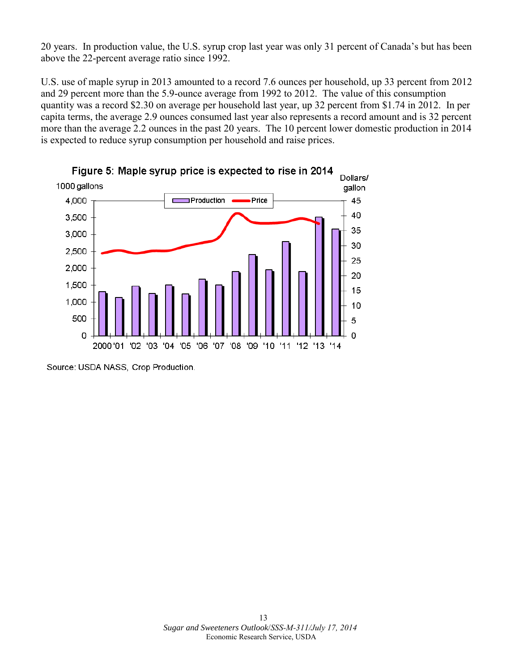20 years. In production value, the U.S. syrup crop last year was only 31 percent of Canada's but has been above the 22-percent average ratio since 1992.

U.S. use of maple syrup in 2013 amounted to a record 7.6 ounces per household, up 33 percent from 2012 and 29 percent more than the 5.9-ounce average from 1992 to 2012. The value of this consumption quantity was a record \$2.30 on average per household last year, up 32 percent from \$1.74 in 2012. In per capita terms, the average 2.9 ounces consumed last year also represents a record amount and is 32 percent more than the average 2.2 ounces in the past 20 years. The 10 percent lower domestic production in 2014 is expected to reduce syrup consumption per household and raise prices.



Source: USDA NASS, Crop Production.